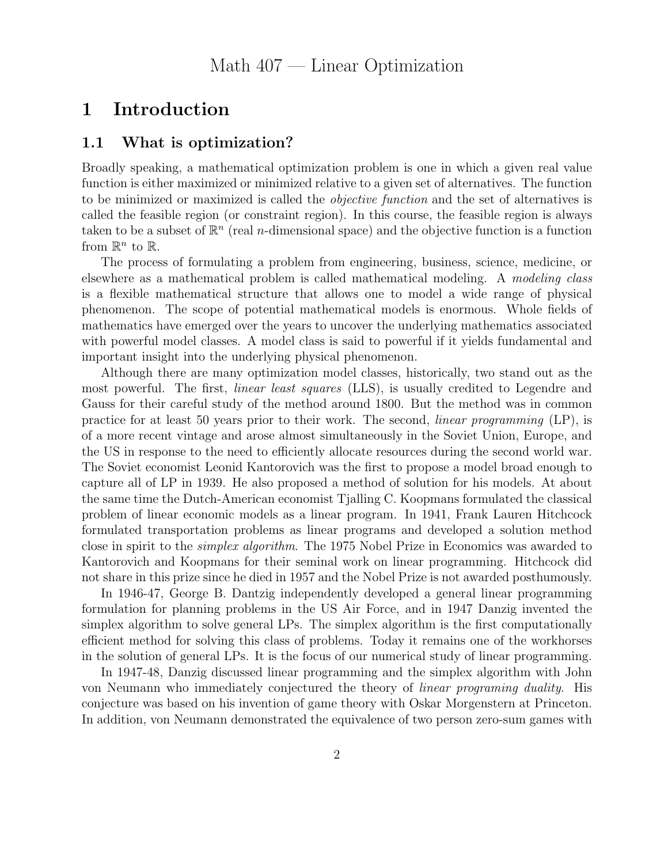# 1 Introduction

# 1.1 What is optimization?

Broadly speaking, a mathematical optimization problem is one in which a given real value function is either maximized or minimized relative to a given set of alternatives. The function to be minimized or maximized is called the *objective function* and the set of alternatives is called the feasible region (or constraint region). In this course, the feasible region is always taken to be a subset of  $\mathbb{R}^n$  (real *n*-dimensional space) and the objective function is a function from  $\mathbb{R}^n$  to  $\mathbb{R}$ .

The process of formulating a problem from engineering, business, science, medicine, or elsewhere as a mathematical problem is called mathematical modeling. A *modeling class* is a flexible mathematical structure that allows one to model a wide range of physical phenomenon. The scope of potential mathematical models is enormous. Whole fields of mathematics have emerged over the years to uncover the underlying mathematics associated with powerful model classes. A model class is said to powerful if it yields fundamental and important insight into the underlying physical phenomenon.

Although there are many optimization model classes, historically, two stand out as the most powerful. The first, *linear least squares* (LLS), is usually credited to Legendre and Gauss for their careful study of the method around 1800. But the method was in common practice for at least 50 years prior to their work. The second, *linear programming* (LP), is of a more recent vintage and arose almost simultaneously in the Soviet Union, Europe, and the US in response to the need to efficiently allocate resources during the second world war. The Soviet economist Leonid Kantorovich was the first to propose a model broad enough to capture all of LP in 1939. He also proposed a method of solution for his models. At about the same time the Dutch-American economist Tjalling C. Koopmans formulated the classical problem of linear economic models as a linear program. In 1941, Frank Lauren Hitchcock formulated transportation problems as linear programs and developed a solution method close in spirit to the *simplex algorithm*. The 1975 Nobel Prize in Economics was awarded to Kantorovich and Koopmans for their seminal work on linear programming. Hitchcock did not share in this prize since he died in 1957 and the Nobel Prize is not awarded posthumously.

In 1946-47, George B. Dantzig independently developed a general linear programming formulation for planning problems in the US Air Force, and in 1947 Danzig invented the simplex algorithm to solve general LPs. The simplex algorithm is the first computationally efficient method for solving this class of problems. Today it remains one of the workhorses in the solution of general LPs. It is the focus of our numerical study of linear programming.

In 1947-48, Danzig discussed linear programming and the simplex algorithm with John von Neumann who immediately conjectured the theory of *linear programing duality*. His conjecture was based on his invention of game theory with Oskar Morgenstern at Princeton. In addition, von Neumann demonstrated the equivalence of two person zero-sum games with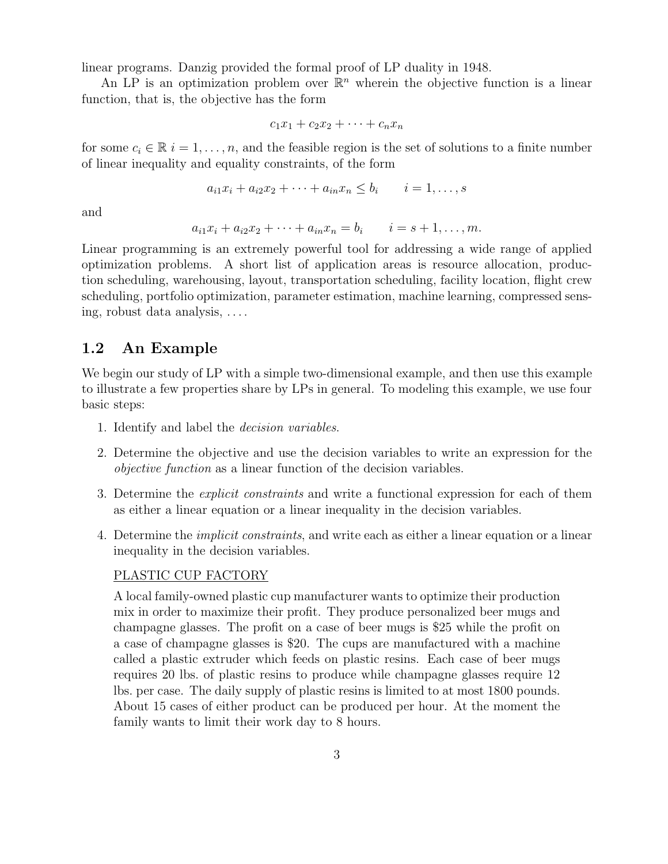linear programs. Danzig provided the formal proof of LP duality in 1948.

An LP is an optimization problem over  $\mathbb{R}^n$  wherein the objective function is a linear function, that is, the objective has the form

$$
c_1x_1+c_2x_2+\cdots+c_nx_n
$$

for some  $c_i \in \mathbb{R}$   $i = 1, \ldots, n$ , and the feasible region is the set of solutions to a finite number of linear inequality and equality constraints, of the form

$$
a_{i1}x_i + a_{i2}x_2 + \cdots + a_{in}x_n \le b_i \qquad i = 1, \ldots, s
$$

and

$$
a_{i1}x_i + a_{i2}x_2 + \cdots + a_{in}x_n = b_i
$$
  $i = s + 1, ..., m.$ 

Linear programming is an extremely powerful tool for addressing a wide range of applied optimization problems. A short list of application areas is resource allocation, production scheduling, warehousing, layout, transportation scheduling, facility location, flight crew scheduling, portfolio optimization, parameter estimation, machine learning, compressed sensing, robust data analysis, . . . .

# 1.2 An Example

We begin our study of LP with a simple two-dimensional example, and then use this example to illustrate a few properties share by LPs in general. To modeling this example, we use four basic steps:

- 1. Identify and label the *decision variables*.
- 2. Determine the objective and use the decision variables to write an expression for the *objective function* as a linear function of the decision variables.
- 3. Determine the *explicit constraints* and write a functional expression for each of them as either a linear equation or a linear inequality in the decision variables.
- 4. Determine the *implicit constraints*, and write each as either a linear equation or a linear inequality in the decision variables.

### PLASTIC CUP FACTORY

A local family-owned plastic cup manufacturer wants to optimize their production mix in order to maximize their profit. They produce personalized beer mugs and champagne glasses. The profit on a case of beer mugs is \$25 while the profit on a case of champagne glasses is \$20. The cups are manufactured with a machine called a plastic extruder which feeds on plastic resins. Each case of beer mugs requires 20 lbs. of plastic resins to produce while champagne glasses require 12 lbs. per case. The daily supply of plastic resins is limited to at most 1800 pounds. About 15 cases of either product can be produced per hour. At the moment the family wants to limit their work day to 8 hours.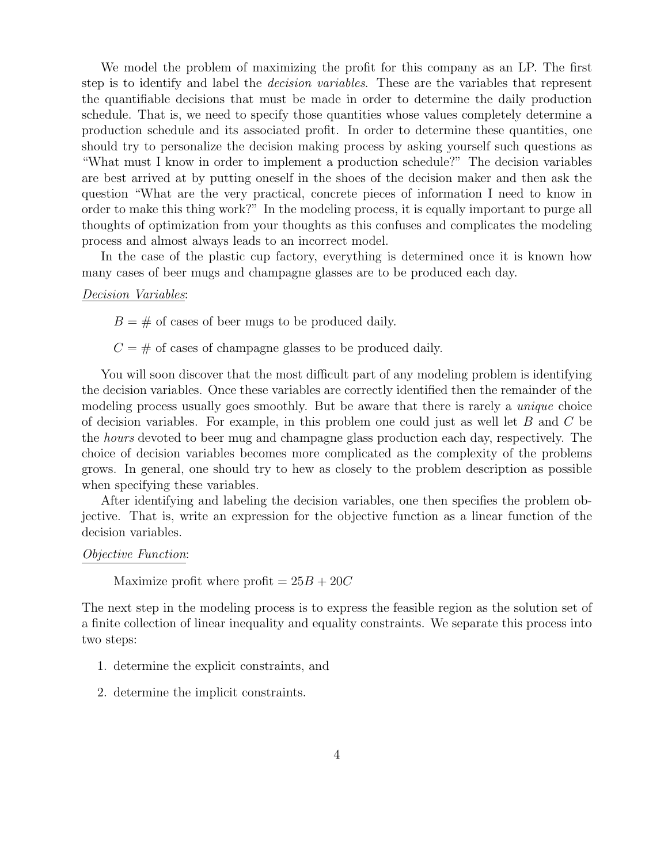We model the problem of maximizing the profit for this company as an LP. The first step is to identify and label the *decision variables*. These are the variables that represent the quantifiable decisions that must be made in order to determine the daily production schedule. That is, we need to specify those quantities whose values completely determine a production schedule and its associated profit. In order to determine these quantities, one should try to personalize the decision making process by asking yourself such questions as "What must I know in order to implement a production schedule?" The decision variables are best arrived at by putting oneself in the shoes of the decision maker and then ask the question "What are the very practical, concrete pieces of information I need to know in order to make this thing work?" In the modeling process, it is equally important to purge all thoughts of optimization from your thoughts as this confuses and complicates the modeling process and almost always leads to an incorrect model.

In the case of the plastic cup factory, everything is determined once it is known how many cases of beer mugs and champagne glasses are to be produced each day.

#### *Decision Variables*:

 $B = #$  of cases of beer mugs to be produced daily.

 $C = #$  of cases of champagne glasses to be produced daily.

You will soon discover that the most difficult part of any modeling problem is identifying the decision variables. Once these variables are correctly identified then the remainder of the modeling process usually goes smoothly. But be aware that there is rarely a *unique* choice of decision variables. For example, in this problem one could just as well let *B* and *C* be the *hours* devoted to beer mug and champagne glass production each day, respectively. The choice of decision variables becomes more complicated as the complexity of the problems grows. In general, one should try to hew as closely to the problem description as possible when specifying these variables.

After identifying and labeling the decision variables, one then specifies the problem objective. That is, write an expression for the objective function as a linear function of the decision variables.

#### *Objective Function*:

Maximize profit where profit  $= 25B + 20C$ 

The next step in the modeling process is to express the feasible region as the solution set of a finite collection of linear inequality and equality constraints. We separate this process into two steps:

- 1. determine the explicit constraints, and
- 2. determine the implicit constraints.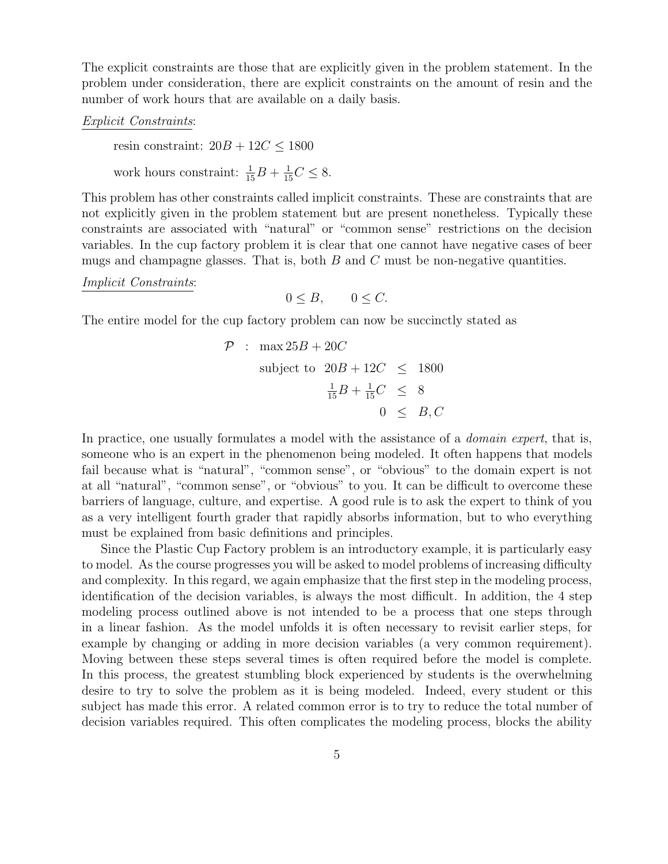The explicit constraints are those that are explicitly given in the problem statement. In the problem under consideration, there are explicit constraints on the amount of resin and the number of work hours that are available on a daily basis.

### *Explicit Constraints*:

resin constraint:  $20B + 12C \le 1800$ work hours constraint:  $\frac{1}{15}B + \frac{1}{15}C \leq 8$ .

This problem has other constraints called implicit constraints. These are constraints that are not explicitly given in the problem statement but are present nonetheless. Typically these constraints are associated with "natural" or "common sense" restrictions on the decision variables. In the cup factory problem it is clear that one cannot have negative cases of beer mugs and champagne glasses. That is, both *B* and *C* must be non-negative quantities.

*Implicit Constraints*:

$$
0 \leq B, \qquad 0 \leq C.
$$

The entire model for the cup factory problem can now be succinctly stated as

$$
\mathcal{P} : \max 25B + 20C
$$
  
subject to  $20B + 12C \le 1800$   

$$
\frac{1}{15}B + \frac{1}{15}C \le 8
$$
  

$$
0 \le B, C
$$

In practice, one usually formulates a model with the assistance of a *domain expert*, that is, someone who is an expert in the phenomenon being modeled. It often happens that models fail because what is "natural", "common sense", or "obvious" to the domain expert is not at all "natural", "common sense", or "obvious" to you. It can be difficult to overcome these barriers of language, culture, and expertise. A good rule is to ask the expert to think of you as a very intelligent fourth grader that rapidly absorbs information, but to who everything must be explained from basic definitions and principles.

Since the Plastic Cup Factory problem is an introductory example, it is particularly easy to model. As the course progresses you will be asked to model problems of increasing difficulty and complexity. In this regard, we again emphasize that the first step in the modeling process, identification of the decision variables, is always the most difficult. In addition, the 4 step modeling process outlined above is not intended to be a process that one steps through in a linear fashion. As the model unfolds it is often necessary to revisit earlier steps, for example by changing or adding in more decision variables (a very common requirement). Moving between these steps several times is often required before the model is complete. In this process, the greatest stumbling block experienced by students is the overwhelming desire to try to solve the problem as it is being modeled. Indeed, every student or this subject has made this error. A related common error is to try to reduce the total number of decision variables required. This often complicates the modeling process, blocks the ability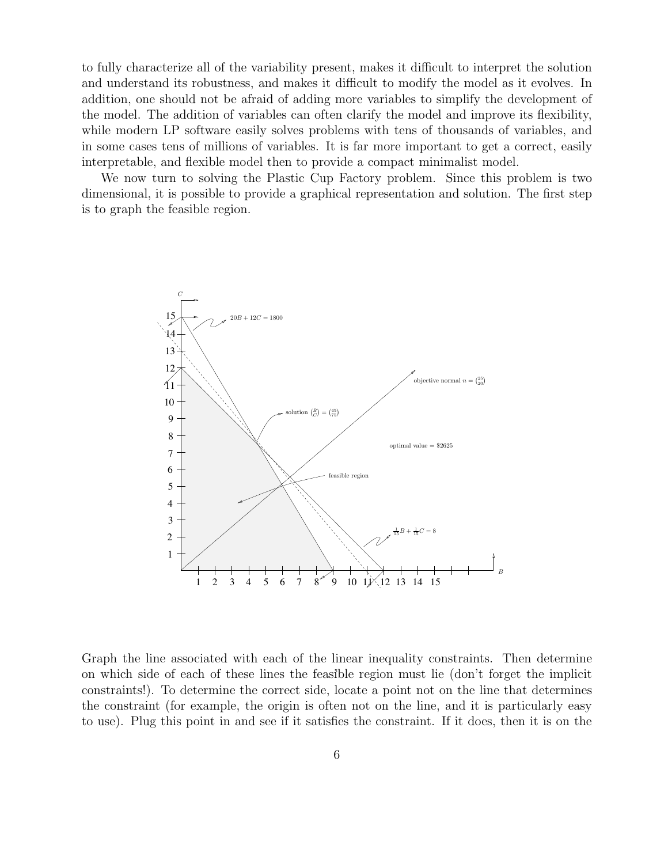to fully characterize all of the variability present, makes it difficult to interpret the solution and understand its robustness, and makes it difficult to modify the model as it evolves. In addition, one should not be afraid of adding more variables to simplify the development of the model. The addition of variables can often clarify the model and improve its flexibility, while modern LP software easily solves problems with tens of thousands of variables, and in some cases tens of millions of variables. It is far more important to get a correct, easily interpretable, and flexible model then to provide a compact minimalist model.

We now turn to solving the Plastic Cup Factory problem. Since this problem is two dimensional, it is possible to provide a graphical representation and solution. The first step is to graph the feasible region.



1 on which side of each of these lines the feasible region must lie (don't forget the implicit Graph the line associated with each of the linear inequality constraints. Then determine constraints!). To determine the correct side, locate a point not on the line that determines the constraint (for example, the origin is often not on the line, and it is particularly easy to use). Plug this point in and see if it satisfies the constraint. If it does, then it is on the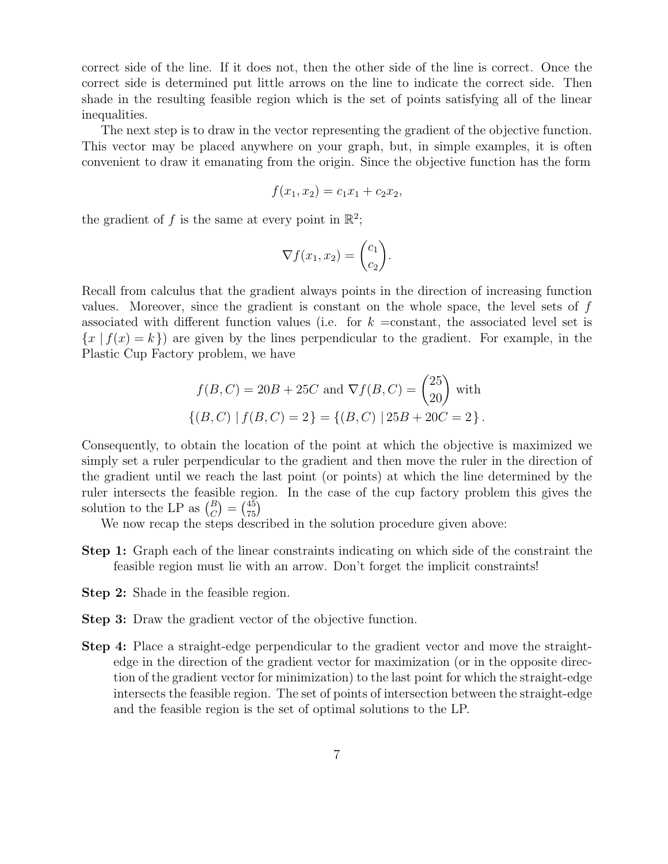correct side of the line. If it does not, then the other side of the line is correct. Once the correct side is determined put little arrows on the line to indicate the correct side. Then shade in the resulting feasible region which is the set of points satisfying all of the linear inequalities.

The next step is to draw in the vector representing the gradient of the objective function. This vector may be placed anywhere on your graph, but, in simple examples, it is often convenient to draw it emanating from the origin. Since the objective function has the form

$$
f(x_1, x_2) = c_1 x_1 + c_2 x_2,
$$

the gradient of f is the same at every point in  $\mathbb{R}^2$ ;

$$
\nabla f(x_1, x_2) = \begin{pmatrix} c_1 \\ c_2 \end{pmatrix}.
$$

Recall from calculus that the gradient always points in the direction of increasing function values. Moreover, since the gradient is constant on the whole space, the level sets of *f* associated with different function values (i.e. for  $k = constant$ , the associated level set is  ${x | f(x) = k}$  are given by the lines perpendicular to the gradient. For example, in the Plastic Cup Factory problem, we have

$$
f(B, C) = 20B + 25C \text{ and } \nabla f(B, C) = \begin{pmatrix} 25 \\ 20 \end{pmatrix} \text{ with }
$$
  
\n
$$
\{(B, C) | f(B, C) = 2\} = \{(B, C) | 25B + 20C = 2\}.
$$

Consequently, to obtain the location of the point at which the objective is maximized we simply set a ruler perpendicular to the gradient and then move the ruler in the direction of the gradient until we reach the last point (or points) at which the line determined by the ruler intersects the feasible region. In the case of the cup factory problem this gives the solution to the LP as  $\binom{B}{C} = \binom{45}{75}$ 

We now recap the steps described in the solution procedure given above:

- Step 1: Graph each of the linear constraints indicating on which side of the constraint the feasible region must lie with an arrow. Don't forget the implicit constraints!
- Step 2: Shade in the feasible region.
- Step 3: Draw the gradient vector of the objective function.
- Step 4: Place a straight-edge perpendicular to the gradient vector and move the straightedge in the direction of the gradient vector for maximization (or in the opposite direction of the gradient vector for minimization) to the last point for which the straight-edge intersects the feasible region. The set of points of intersection between the straight-edge and the feasible region is the set of optimal solutions to the LP.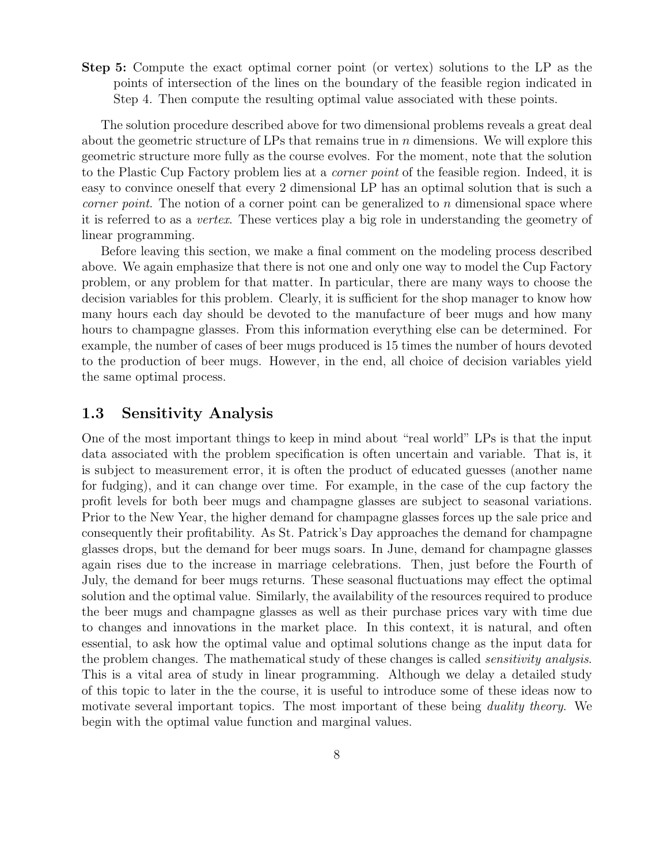Step 5: Compute the exact optimal corner point (or vertex) solutions to the LP as the points of intersection of the lines on the boundary of the feasible region indicated in Step 4. Then compute the resulting optimal value associated with these points.

The solution procedure described above for two dimensional problems reveals a great deal about the geometric structure of LPs that remains true in *n* dimensions. We will explore this geometric structure more fully as the course evolves. For the moment, note that the solution to the Plastic Cup Factory problem lies at a *corner point* of the feasible region. Indeed, it is easy to convince oneself that every 2 dimensional LP has an optimal solution that is such a *corner point*. The notion of a corner point can be generalized to *n* dimensional space where it is referred to as a *vertex*. These vertices play a big role in understanding the geometry of linear programming.

Before leaving this section, we make a final comment on the modeling process described above. We again emphasize that there is not one and only one way to model the Cup Factory problem, or any problem for that matter. In particular, there are many ways to choose the decision variables for this problem. Clearly, it is sufficient for the shop manager to know how many hours each day should be devoted to the manufacture of beer mugs and how many hours to champagne glasses. From this information everything else can be determined. For example, the number of cases of beer mugs produced is 15 times the number of hours devoted to the production of beer mugs. However, in the end, all choice of decision variables yield the same optimal process.

# 1.3 Sensitivity Analysis

One of the most important things to keep in mind about "real world" LPs is that the input data associated with the problem specification is often uncertain and variable. That is, it is subject to measurement error, it is often the product of educated guesses (another name for fudging), and it can change over time. For example, in the case of the cup factory the profit levels for both beer mugs and champagne glasses are subject to seasonal variations. Prior to the New Year, the higher demand for champagne glasses forces up the sale price and consequently their profitability. As St. Patrick's Day approaches the demand for champagne glasses drops, but the demand for beer mugs soars. In June, demand for champagne glasses again rises due to the increase in marriage celebrations. Then, just before the Fourth of July, the demand for beer mugs returns. These seasonal fluctuations may effect the optimal solution and the optimal value. Similarly, the availability of the resources required to produce the beer mugs and champagne glasses as well as their purchase prices vary with time due to changes and innovations in the market place. In this context, it is natural, and often essential, to ask how the optimal value and optimal solutions change as the input data for the problem changes. The mathematical study of these changes is called *sensitivity analysis*. This is a vital area of study in linear programming. Although we delay a detailed study of this topic to later in the the course, it is useful to introduce some of these ideas now to motivate several important topics. The most important of these being *duality theory*. We begin with the optimal value function and marginal values.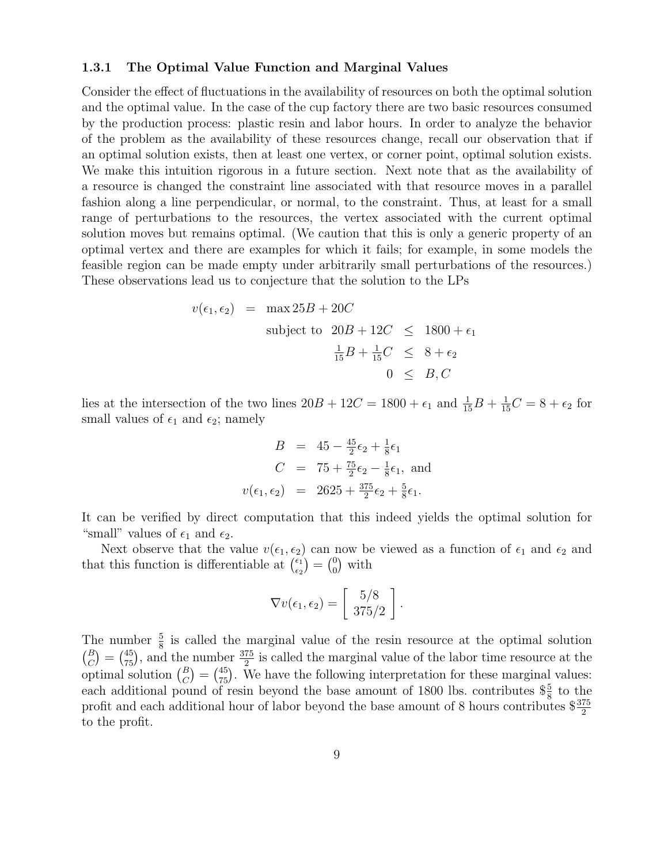### 1.3.1 The Optimal Value Function and Marginal Values

Consider the effect of fluctuations in the availability of resources on both the optimal solution and the optimal value. In the case of the cup factory there are two basic resources consumed by the production process: plastic resin and labor hours. In order to analyze the behavior of the problem as the availability of these resources change, recall our observation that if an optimal solution exists, then at least one vertex, or corner point, optimal solution exists. We make this intuition rigorous in a future section. Next note that as the availability of a resource is changed the constraint line associated with that resource moves in a parallel fashion along a line perpendicular, or normal, to the constraint. Thus, at least for a small range of perturbations to the resources, the vertex associated with the current optimal solution moves but remains optimal. (We caution that this is only a generic property of an optimal vertex and there are examples for which it fails; for example, in some models the feasible region can be made empty under arbitrarily small perturbations of the resources.) These observations lead us to conjecture that the solution to the LPs

$$
v(\epsilon_1, \epsilon_2) = \max 25B + 20C
$$
  
subject to  $20B + 12C \le 1800 + \epsilon_1$   

$$
\frac{1}{15}B + \frac{1}{15}C \le 8 + \epsilon_2
$$
  

$$
0 \le B, C
$$

lies at the intersection of the two lines  $20B + 12C = 1800 + \epsilon_1$  and  $\frac{1}{15}B + \frac{1}{15}C = 8 + \epsilon_2$  for small values of  $\epsilon_1$  and  $\epsilon_2$ ; namely

$$
B = 45 - \frac{45}{2}\epsilon_2 + \frac{1}{8}\epsilon_1
$$
  
\n
$$
C = 75 + \frac{75}{2}\epsilon_2 - \frac{1}{8}\epsilon_1, \text{ and}
$$
  
\n
$$
v(\epsilon_1, \epsilon_2) = 2625 + \frac{375}{2}\epsilon_2 + \frac{5}{8}\epsilon_1.
$$

It can be verified by direct computation that this indeed yields the optimal solution for "small" values of  $\epsilon_1$  and  $\epsilon_2$ .

Next observe that the value  $v(\epsilon_1, \epsilon_2)$  can now be viewed as a function of  $\epsilon_1$  and  $\epsilon_2$  and that this function is differentiable at  $\begin{pmatrix} \epsilon_1 \\ \epsilon_2 \end{pmatrix} = \begin{pmatrix} 0 \\ 0 \end{pmatrix}$  with

$$
\nabla v(\epsilon_1, \epsilon_2) = \left[\begin{array}{c} 5/8 \\ 375/2 \end{array}\right].
$$

The number  $\frac{5}{8}$  is called the marginal value of the resin resource at the optimal solution  $\binom{B}{C} = \binom{45}{75}$ , and the number  $\frac{375}{2}$  is called the marginal value of the labor time resource at the optimal solution  $\binom{B}{C} = \binom{45}{75}$ . We have the following interpretation for these marginal values: each additional pound of resin beyond the base amount of 1800 lbs. contributes  $\frac{5}{8}$  to the profit and each additional hour of labor beyond the base amount of 8 hours contributes  $\frac{$375}{2}$ to the profit.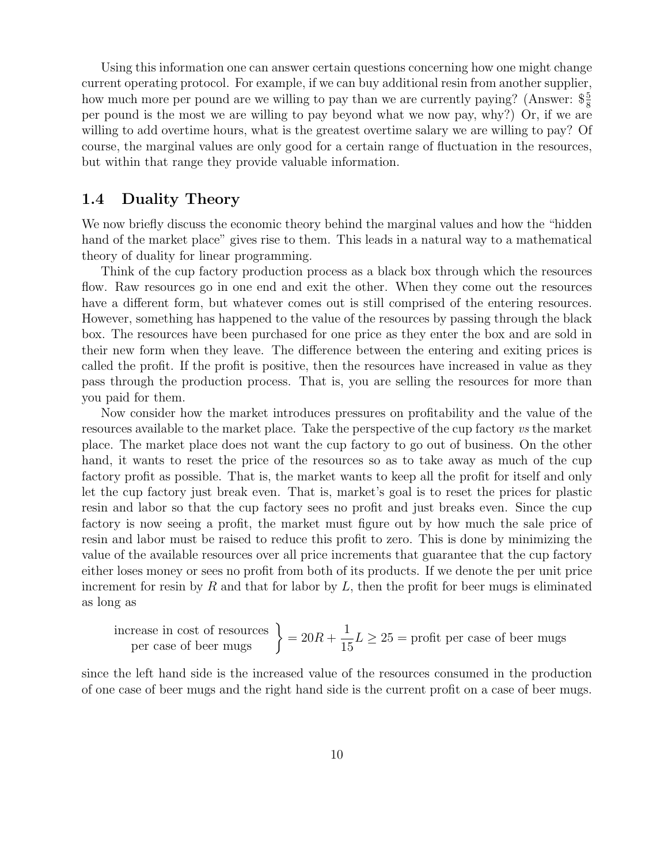Using this information one can answer certain questions concerning how one might change current operating protocol. For example, if we can buy additional resin from another supplier, how much more per pound are we willing to pay than we are currently paying? (Answer:  $\frac{65}{8}$ per pound is the most we are willing to pay beyond what we now pay, why?) Or, if we are willing to add overtime hours, what is the greatest overtime salary we are willing to pay? Of course, the marginal values are only good for a certain range of fluctuation in the resources, but within that range they provide valuable information.

## 1.4 Duality Theory

We now briefly discuss the economic theory behind the marginal values and how the "hidden hand of the market place" gives rise to them. This leads in a natural way to a mathematical theory of duality for linear programming.

Think of the cup factory production process as a black box through which the resources flow. Raw resources go in one end and exit the other. When they come out the resources have a different form, but whatever comes out is still comprised of the entering resources. However, something has happened to the value of the resources by passing through the black box. The resources have been purchased for one price as they enter the box and are sold in their new form when they leave. The difference between the entering and exiting prices is called the profit. If the profit is positive, then the resources have increased in value as they pass through the production process. That is, you are selling the resources for more than you paid for them.

Now consider how the market introduces pressures on profitability and the value of the resources available to the market place. Take the perspective of the cup factory *vs* the market place. The market place does not want the cup factory to go out of business. On the other hand, it wants to reset the price of the resources so as to take away as much of the cup factory profit as possible. That is, the market wants to keep all the profit for itself and only let the cup factory just break even. That is, market's goal is to reset the prices for plastic resin and labor so that the cup factory sees no profit and just breaks even. Since the cup factory is now seeing a profit, the market must figure out by how much the sale price of resin and labor must be raised to reduce this profit to zero. This is done by minimizing the value of the available resources over all price increments that guarantee that the cup factory either loses money or sees no profit from both of its products. If we denote the per unit price increment for resin by  $R$  and that for labor by  $L$ , then the profit for beer mugs is eliminated as long as

increase in cost of resources 
$$
\left.\right\}
$$
 = 20R +  $\frac{1}{15}L \ge 25$  = profit per case of beer mugs

since the left hand side is the increased value of the resources consumed in the production of one case of beer mugs and the right hand side is the current profit on a case of beer mugs.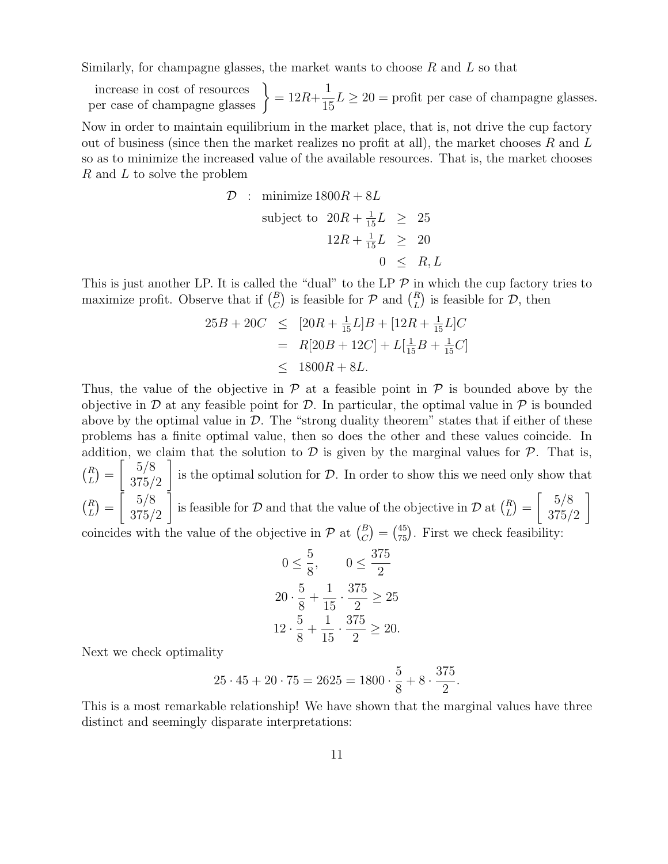Similarly, for champagne glasses, the market wants to choose *R* and *L* so that

increase in cost of resources  $\} = 12R +$ 1  $\frac{1}{15}L \geq 20$  = profit per case of champagne glasses.

Now in order to maintain equilibrium in the market place, that is, not drive the cup factory out of business (since then the market realizes no profit at all), the market chooses *R* and *L* so as to minimize the increased value of the available resources. That is, the market chooses *R* and *L* to solve the problem

$$
\mathcal{D} : \text{ minimize } 1800R + 8L
$$
\n
$$
\text{subject to } 20R + \frac{1}{15}L \ge 25
$$
\n
$$
12R + \frac{1}{15}L \ge 20
$$
\n
$$
0 \le R, L
$$

This is just another LP. It is called the "dual" to the LP  $\mathcal P$  in which the cup factory tries to maximize profit. Observe that if  $\binom{B}{C}$  is feasible for  $P$  and  $\binom{R}{L}$  is feasible for  $D$ , then

$$
25B + 20C \le [20R + \frac{1}{15}L]B + [12R + \frac{1}{15}L]C
$$
  
=  $R[20B + 12C] + L[\frac{1}{15}B + \frac{1}{15}C]$   
 $\le 1800R + 8L.$ 

Thus, the value of the objective in  $P$  at a feasible point in  $P$  is bounded above by the objective in  $\mathcal D$  at any feasible point for  $\mathcal D$ . In particular, the optimal value in  $\mathcal P$  is bounded above by the optimal value in  $D$ . The "strong duality theorem" states that if either of these problems has a finite optimal value, then so does the other and these values coincide. In addition, we claim that the solution to  $D$  is given by the marginal values for  $P$ . That is,  ${R \choose L} = \begin{bmatrix} 5/8 \\ 375/8 \end{bmatrix}$ 375*/*2 1 is the optimal solution for *D*. In order to show this we need only show that  ${R \choose L} = \begin{bmatrix} 5/8 \\ 375/8 \end{bmatrix}$ 375*/*2 is feasible for *D* and that the value of the objective in *D* at  $\binom{R}{L} = \begin{bmatrix} 5/8 \\ 375/4 \end{bmatrix}$ 375*/*2 1 coincides with the value of the objective in  $\mathcal{P}$  at  ${B \choose C} = {45 \choose 75}$ . First we check feasibility:

$$
0 \le \frac{5}{8}, \qquad 0 \le \frac{375}{2}
$$
  

$$
20 \cdot \frac{5}{8} + \frac{1}{15} \cdot \frac{375}{2} \ge 25
$$
  

$$
12 \cdot \frac{5}{8} + \frac{1}{15} \cdot \frac{375}{2} \ge 20.
$$

Next we check optimality

$$
25 \cdot 45 + 20 \cdot 75 = 2625 = 1800 \cdot \frac{5}{8} + 8 \cdot \frac{375}{2}.
$$

This is a most remarkable relationship! We have shown that the marginal values have three distinct and seemingly disparate interpretations: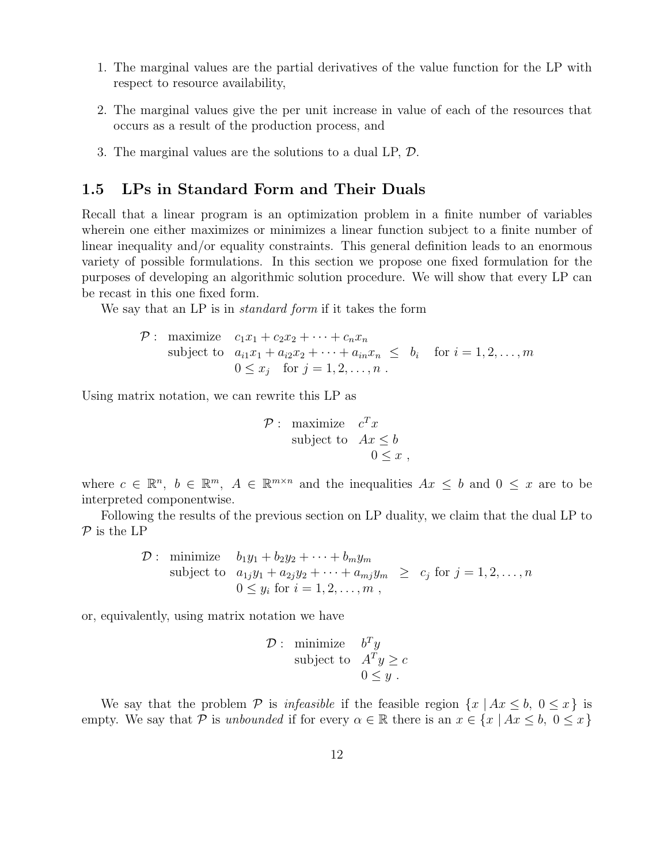- 1. The marginal values are the partial derivatives of the value function for the LP with respect to resource availability,
- 2. The marginal values give the per unit increase in value of each of the resources that occurs as a result of the production process, and
- 3. The marginal values are the solutions to a dual LP, *D*.

# 1.5 LPs in Standard Form and Their Duals

Recall that a linear program is an optimization problem in a finite number of variables wherein one either maximizes or minimizes a linear function subject to a finite number of linear inequality and/or equality constraints. This general definition leads to an enormous variety of possible formulations. In this section we propose one fixed formulation for the purposes of developing an algorithmic solution procedure. We will show that every LP can be recast in this one fixed form.

We say that an LP is in *standard form* if it takes the form

$$
\mathcal{P}: \text{ maximize } c_1x_1 + c_2x_2 + \cdots + c_nx_n
$$
\n
$$
\text{subject to } a_{i1}x_1 + a_{i2}x_2 + \cdots + a_{in}x_n \le b_i \quad \text{for } i = 1, 2, \ldots, m
$$
\n
$$
0 \le x_j \quad \text{for } j = 1, 2, \ldots, n \ .
$$

Using matrix notation, we can rewrite this LP as

$$
\mathcal{P}: \begin{array}{ll}\text{maximize} & c^T x\\ \text{subject to} & Ax \leq b\\ & 0 \leq x \end{array},
$$

where  $c \in \mathbb{R}^n$ ,  $b \in \mathbb{R}^m$ ,  $A \in \mathbb{R}^{m \times n}$  and the inequalities  $Ax \leq b$  and  $0 \leq x$  are to be interpreted componentwise.

Following the results of the previous section on LP duality, we claim that the dual LP to *P* is the LP

$$
\mathcal{D}: \text{ minimize } b_1y_1 + b_2y_2 + \cdots + b_my_m
$$
  
subject to  $a_{1j}y_1 + a_{2j}y_2 + \cdots + a_{mj}y_m \ge c_j \text{ for } j = 1, 2, \ldots, n$   
 $0 \le y_i \text{ for } i = 1, 2, \ldots, m$ ,

or, equivalently, using matrix notation we have

$$
\mathcal{D}: \begin{array}{ll}\text{minimize} & b^T y \\ \text{subject to} & A^T y \ge c \\ & 0 \le y \end{array}
$$

We say that the problem  $P$  is *infeasible* if the feasible region  $\{x \mid Ax \leq b, 0 \leq x\}$  is empty. We say that *P* is *unbounded* if for every  $\alpha \in \mathbb{R}$  there is an  $x \in \{x \mid Ax \leq b, 0 \leq x\}$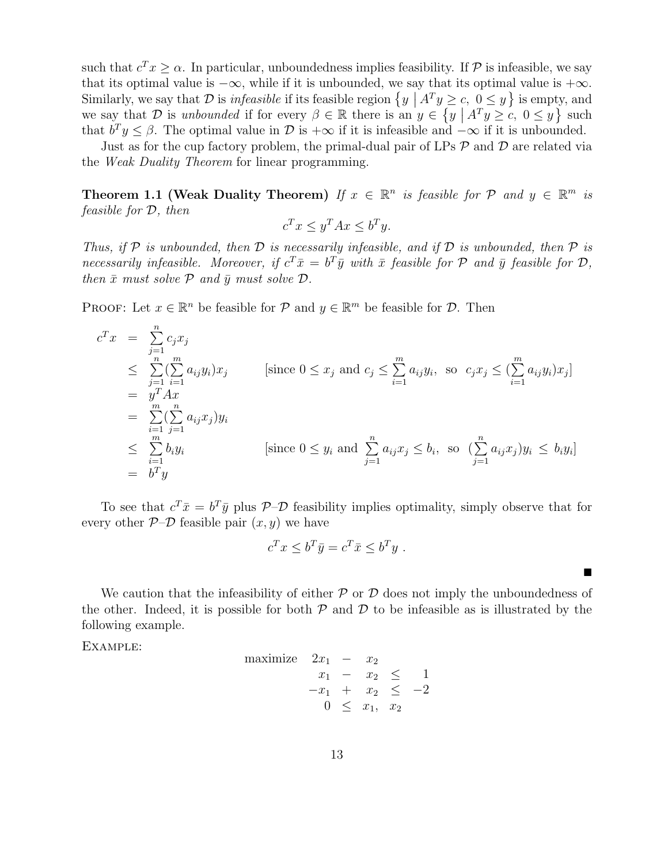such that  $c^T x \geq \alpha$ . In particular, unboundedness implies feasibility. If  $P$  is infeasible, we say that its optimal value is  $-\infty$ , while if it is unbounded, we say that its optimal value is  $+\infty$ . Similarly, we say that *D* is *infeasible* if its feasible region  $\{y \mid A^T y \ge c, 0 \le y\}$  is empty, and we say that *D* is *unbounded* if for every  $\beta \in \mathbb{R}$  there is an  $y \in \{y \mid A^T y \ge c, 0 \le y\}$  such that  $b^T y \le \beta$ . The optimal value in  $\mathcal{D}$  is  $+\infty$  if it is infeasible and  $-\infty$  if it is unbounded.

Just as for the cup factory problem, the primal-dual pair of LPs *P* and *D* are related via the *Weak Duality Theorem* for linear programming.

**Theorem 1.1 (Weak Duality Theorem)** *If*  $x \in \mathbb{R}^n$  *is feasible for*  $\mathcal{P}$  *and*  $y \in \mathbb{R}^m$  *is feasible for D, then*

$$
c^T x \le y^T A x \le b^T y.
$$

*Thus, if*  $P$  *is unbounded, then*  $D$  *is necessarily infeasible, and if*  $D$  *is unbounded, then*  $P$  *is necessarily infeasible. Moreover, if*  $c^T \bar{x} = b^T \bar{y}$  *with*  $\bar{x}$  *feasible for*  $\mathcal{P}$  *and*  $\bar{y}$  *feasible for*  $\mathcal{D}$ *, then*  $\bar{x}$  *must solve*  $\mathcal{P}$  *and*  $\bar{y}$  *must solve*  $\mathcal{D}$ *.* 

PROOF: Let  $x \in \mathbb{R}^n$  be feasible for  $\mathcal{P}$  and  $y \in \mathbb{R}^m$  be feasible for  $\mathcal{D}$ . Then

$$
c^T x = \sum_{j=1}^n c_j x_j
$$
  
\n
$$
\leq \sum_{j=1}^n (\sum_{i=1}^m a_{ij} y_i) x_j
$$
 [since  $0 \leq x_j$  and  $c_j \leq \sum_{i=1}^m a_{ij} y_i$ , so  $c_j x_j \leq (\sum_{i=1}^m a_{ij} y_i) x_j$ ]  
\n
$$
= y^T A x
$$
  
\n
$$
\leq \sum_{i=1}^m (\sum_{j=1}^n a_{ij} x_j) y_i
$$
  
\n
$$
\leq \sum_{i=1}^m b_i y_i
$$
 [since  $0 \leq y_i$  and  $\sum_{j=1}^n a_{ij} x_j \leq b_i$ , so  $(\sum_{j=1}^n a_{ij} x_j) y_i \leq b_i y_i$ ]  
\n
$$
= b^T y
$$

To see that  $c^T \bar{x} = b^T \bar{y}$  plus  $\mathcal{P}$ – $\mathcal{D}$  feasibility implies optimality, simply observe that for every other  $P$ – $D$  feasible pair  $(x, y)$  we have

$$
c^T x \le b^T \bar{y} = c^T \bar{x} \le b^T y \ .
$$

⌅

We caution that the infeasibility of either  $P$  or  $D$  does not imply the unboundedness of the other. Indeed, it is possible for both  $P$  and  $D$  to be infeasible as is illustrated by the following example.

Example:

maximize 
$$
2x_1 - x_2
$$
  
\n $x_1 - x_2 \le 1$   
\n $-x_1 + x_2 \le -2$   
\n $0 \le x_1, x_2$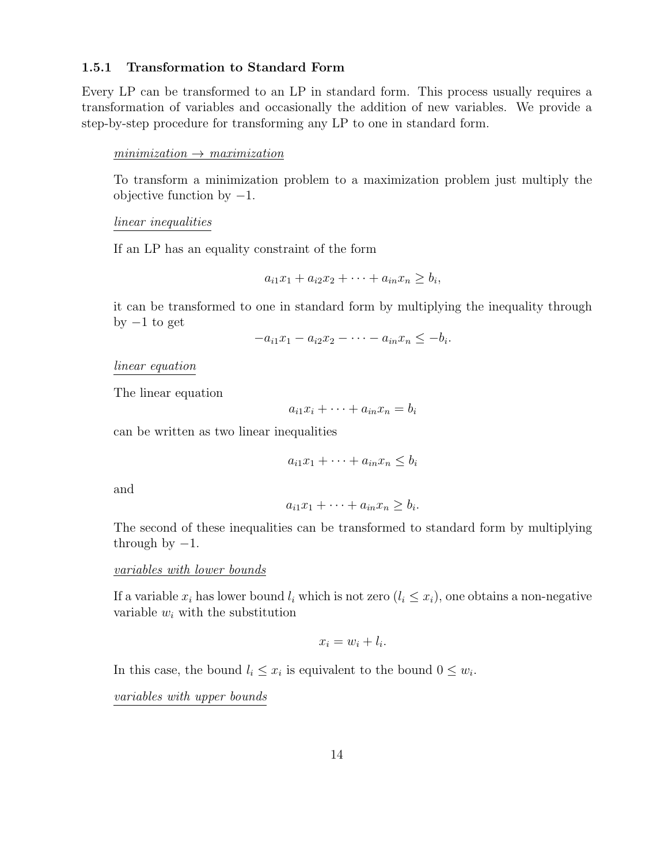### 1.5.1 Transformation to Standard Form

Every LP can be transformed to an LP in standard form. This process usually requires a transformation of variables and occasionally the addition of new variables. We provide a step-by-step procedure for transforming any LP to one in standard form.

#### $minimization \rightarrow maximization$

To transform a minimization problem to a maximization problem just multiply the objective function by  $-1$ .

### *linear inequalities*

If an LP has an equality constraint of the form

$$
a_{i1}x_1 + a_{i2}x_2 + \cdots + a_{in}x_n \ge b_i,
$$

it can be transformed to one in standard form by multiplying the inequality through by  $-1$  to get

$$
-a_{i1}x_1-a_{i2}x_2-\cdots-a_{in}x_n\leq-b_i.
$$

*linear equation*

The linear equation

$$
a_{i1}x_i + \cdots + a_{in}x_n = b_i
$$

can be written as two linear inequalities

$$
a_{i1}x_1 + \dots + a_{in}x_n \le b_i
$$

and

$$
a_{i1}x_1 + \cdots + a_{in}x_n \ge b_i.
$$

The second of these inequalities can be transformed to standard form by multiplying through by  $-1$ .

### *variables with lower bounds*

If a variable  $x_i$  has lower bound  $l_i$  which is not zero  $(l_i \leq x_i)$ , one obtains a non-negative variable *w<sup>i</sup>* with the substitution

$$
x_i = w_i + l_i.
$$

In this case, the bound  $l_i \leq x_i$  is equivalent to the bound  $0 \leq w_i$ .

*variables with upper bounds*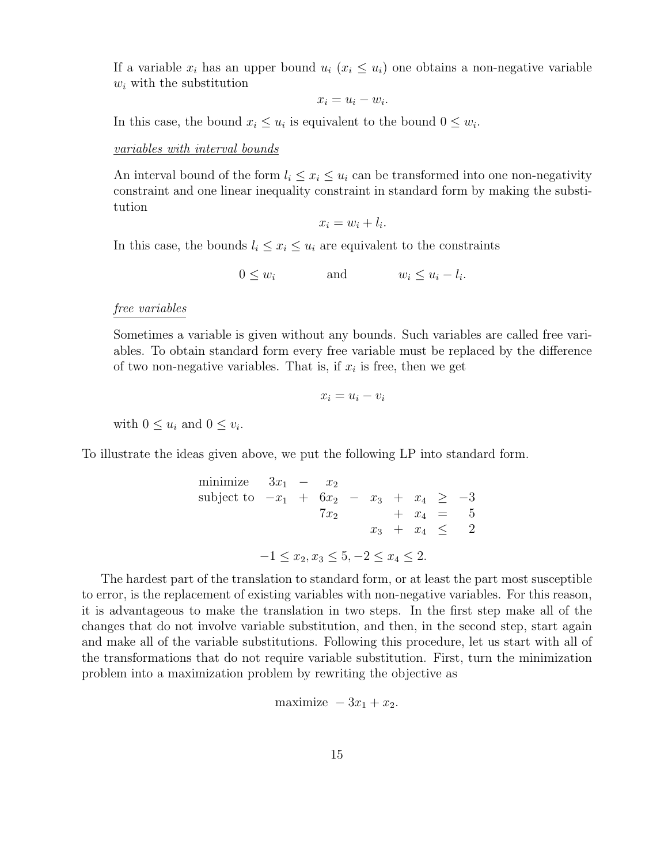If a variable  $x_i$  has an upper bound  $u_i$  ( $x_i \leq u_i$ ) one obtains a non-negative variable *w<sup>i</sup>* with the substitution

$$
x_i = u_i - w_i.
$$

In this case, the bound  $x_i \leq u_i$  is equivalent to the bound  $0 \leq w_i$ .

#### *variables with interval bounds*

An interval bound of the form  $l_i \leq x_i \leq u_i$  can be transformed into one non-negativity constraint and one linear inequality constraint in standard form by making the substitution

$$
x_i = w_i + l_i.
$$

In this case, the bounds  $l_i \leq x_i \leq u_i$  are equivalent to the constraints

$$
0 \le w_i \qquad \text{and} \qquad w_i \le u_i - l_i.
$$

### *free variables*

Sometimes a variable is given without any bounds. Such variables are called free variables. To obtain standard form every free variable must be replaced by the difference of two non-negative variables. That is, if  $x_i$  is free, then we get

$$
x_i = u_i - v_i
$$

with  $0 \leq u_i$  and  $0 \leq v_i$ .

To illustrate the ideas given above, we put the following LP into standard form.

minimize 
$$
3x_1 - x_2
$$
  
\nsubject to  $-x_1 + 6x_2 - x_3 + x_4 \ge -3$   
\n $7x_2 + x_4 = 5$   
\n $x_3 + x_4 \le 2$   
\n $-1 \le x_2, x_3 \le 5, -2 \le x_4 \le 2$ .

The hardest part of the translation to standard form, or at least the part most susceptible to error, is the replacement of existing variables with non-negative variables. For this reason, it is advantageous to make the translation in two steps. In the first step make all of the changes that do not involve variable substitution, and then, in the second step, start again and make all of the variable substitutions. Following this procedure, let us start with all of the transformations that do not require variable substitution. First, turn the minimization problem into a maximization problem by rewriting the objective as

$$
maximize -3x_1 + x_2.
$$